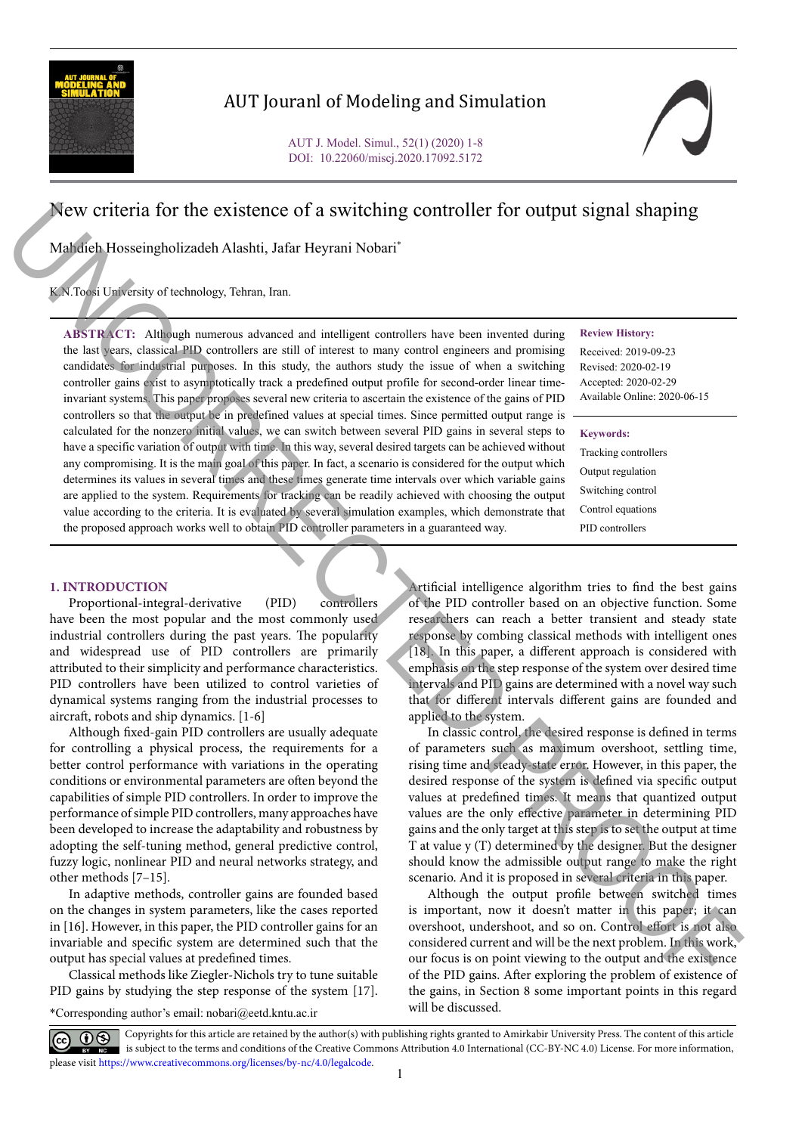

# AUT Jouranl of Modeling and Simulation

# New criteria for the existence of a switching controller for output signal shaping

Mahdieh Hosseingholizadeh Alashti, Jafar Heyrani Nobari\*

K.N.Toosi University of technology, Tehran, Iran.

**ABSTRACT:** Although numerous advanced and intelligent controllers have been invented during the last years, classical PID controllers are still of interest to many control engineers and promising candidates for industrial purposes. In this study, the authors study the issue of when a switching controller gains exist to asymptotically track a predefined output profile for second-order linear timeinvariant systems. This paper proposes several new criteria to ascertain the existence of the gains of PID controllers so that the output be in predefined values at special times. Since permitted output range is calculated for the nonzero initial values, we can switch between several PID gains in several steps to have a specific variation of output with time. In this way, several desired targets can be achieved without any compromising. It is the main goal of this paper. In fact, a scenario is considered for the output which determines its values in several times and these times generate time intervals over which variable gains are applied to the system. Requirements for tracking can be readily achieved with choosing the output value according to the criteria. It is evaluated by several simulation examples, which demonstrate that the proposed approach works well to obtain PID controller parameters in a guaranteed way. New criteria for the existence of a switching controller for output signal shaping<br>
Mathematical Absolutions, then Floynavi Nobel<br>
Mathematical Absolutions, then the strained and include ancients have seen invested and<br>

#### **Review History:**

Received: 2019-09-23 Revised: 2020-02-19 Accepted: 2020-02-29 Available Online: 2020-06-15

#### **Keywords:**

Tracking controllers Output regulation Switching control Control equations PID controllers

## **1. INTRODUCTION**

Proportional-integral-derivative (PID) controllers have been the most popular and the most commonly used industrial controllers during the past years. The popularity and widespread use of PID controllers are primarily attributed to their simplicity and performance characteristics. PID controllers have been utilized to control varieties of dynamical systems ranging from the industrial processes to aircraft, robots and ship dynamics. [1-6]

Although fixed-gain PID controllers are usually adequate for controlling a physical process, the requirements for a better control performance with variations in the operating conditions or environmental parameters are often beyond the capabilities of simple PID controllers. In order to improve the performance of simple PID controllers, many approaches have been developed to increase the adaptability and robustness by adopting the self-tuning method, general predictive control, fuzzy logic, nonlinear PID and neural networks strategy, and other methods [7–15].

In adaptive methods, controller gains are founded based on the changes in system parameters, like the cases reported in [16]. However, in this paper, the PID controller gains for an invariable and specific system are determined such that the output has special values at predefined times.

Classical methods like Ziegler-Nichols try to tune suitable PID gains by studying the step response of the system [17].

\*Corresponding author's email: nobari@eetd.kntu.ac.ir

Artificial intelligence algorithm tries to find the best gains of the PID controller based on an objective function. Some researchers can reach a better transient and steady state response by combing classical methods with intelligent ones [18]. In this paper, a different approach is considered with emphasis on the step response of the system over desired time intervals and PID gains are determined with a novel way such that for different intervals different gains are founded and applied to the system.

In classic control, the desired response is defined in terms of parameters such as maximum overshoot, settling time, rising time and steady-state error. However, in this paper, the desired response of the system is defined via specific output values at predefined times. It means that quantized output values are the only effective parameter in determining PID gains and the only target at this step is to set the output at time T at value y (T) determined by the designer. But the designer should know the admissible output range to make the right scenario. And it is proposed in several criteria in this paper.

Although the output profile between switched times is important, now it doesn't matter in this paper; it can overshoot, undershoot, and so on. Control effort is not also considered current and will be the next problem. In this work, our focus is on point viewing to the output and the existence of the PID gains. After exploring the problem of existence of the gains, in Section 8 some important points in this regard will be discussed.

Copyrights for this article are retained by the author(s) with publishing rights granted to Amirkabir University Press. The content of this article is subject to the terms and conditions of the Creative Commons Attribution 4.0 International (CC-BY-NC 4.0) License. For more information, please visit https://www.creativecommons.org/licenses/by-nc/4.0/legalcode.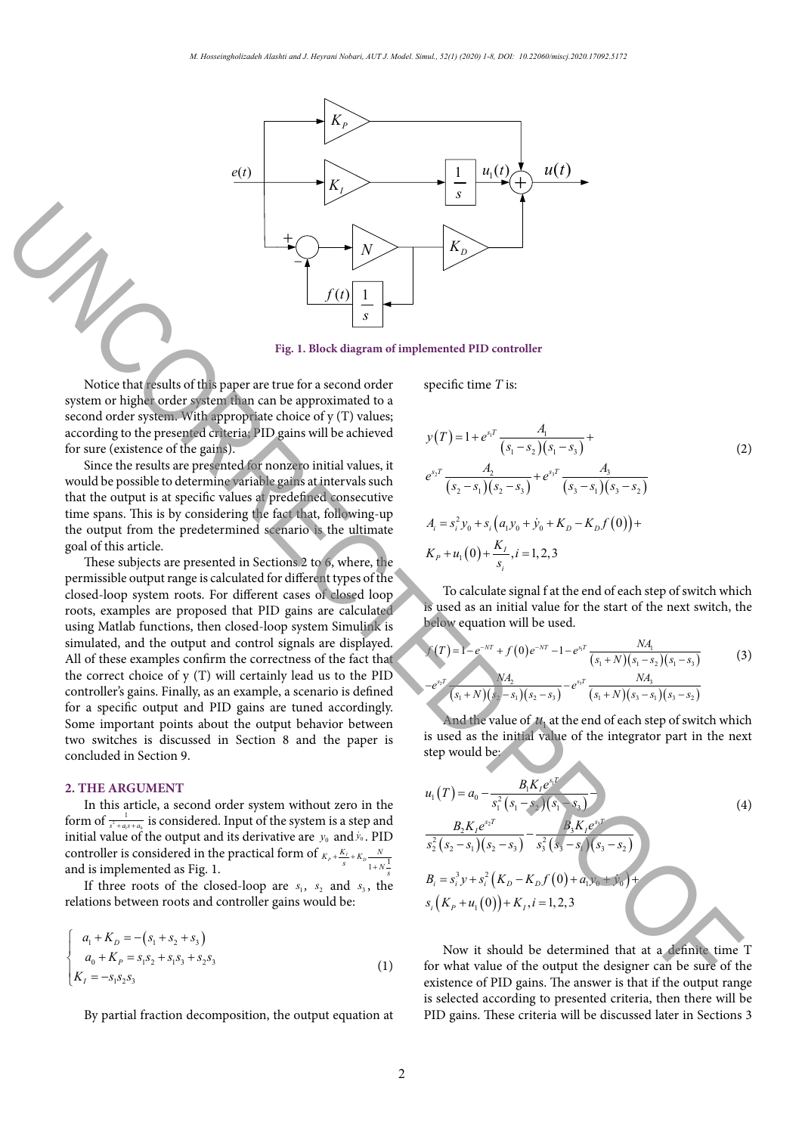

Notice that results of this paper are true for a second order system or higher order system than can be approximated to a second order system. With appropriate choice of y (T) values; according to the presented criteria; PID gains will be achieved for sure (existence of the gains).

Since the results are presented for nonzero initial values, it would be possible to determine variable gains at intervals such that the output is at specific values at predefined consecutive time spans. This is by considering the fact that, following-up the output from the predetermined scenario is the ultimate goal of this article.

These subjects are presented in Sections 2 to 6, where, the permissible output range is calculated for different types of the closed-loop system roots. For different cases of closed loop roots, examples are proposed that PID gains are calculated using Matlab functions, then closed-loop system Simulink is simulated, and the output and control signals are displayed. All of these examples confirm the correctness of the fact that the correct choice of y (T) will certainly lead us to the PID controller's gains. Finally, as an example, a scenario is defined for a specific output and PID gains are tuned accordingly. Some important points about the output behavior between two switches is discussed in Section 8 and the paper is concluded in Section 9. Figure 1. The controller of the state of the state of  $\mathbb{F}_2$ . The state of  $\mathbb{F}_3$  and  $\mathbb{F}_4$  and  $\mathbb{F}_5$  and  $\mathbb{F}_6$  and  $\mathbb{F}_6$  and  $\mathbb{F}_6$  and  $\mathbb{F}_6$  and  $\mathbb{F}_6$  and  $\mathbb{F}_6$  and  $\mathbb{F}_6$  and  $\math$ 

## **2. THE ARGUMENT**

In this article, a second order system without zero in the form of  $\frac{1}{s^2 + a_1 s + a_0}$  $\frac{1}{s^2+a,s+a_0}$  is considered. Input of the system is a step and initial value of the output and its derivative are  $y_0$  and  $\dot{y}_0$ . PID controller is considered in the practical form of  $K_p + \frac{K_f}{s} + K_p - \frac{N}{1 + N \frac{1}{s}}$ <br>and is implemented as Fig. 1.

If three roots of the closed-loop are  $s_1$ ,  $s_2$  and  $s_3$ , the relations between roots and controller gains would be:

$$
\begin{cases}\n a_1 + K_D = -(s_1 + s_2 + s_3) \\
 a_0 + K_P = s_1 s_2 + s_1 s_3 + s_2 s_3 \\
 K_I = -s_1 s_2 s_3\n\end{cases}
$$
\n(1)

By partial fraction decomposition, the output equation at

specific time *T* is:

$$
y(T) = 1 + e^{s,T} \frac{A_1}{(s_1 - s_2)(s_1 - s_3)} +
$$
  
\n
$$
e^{s_2T} \frac{A_2}{(s_2 - s_1)(s_2 - s_3)} + e^{s_3T} \frac{A_3}{(s_3 - s_1)(s_3 - s_2)}
$$
  
\n
$$
A_i = s_i^2 y_0 + s_i (a_1 y_0 + \dot{y}_0 + K_D - K_D f(0)) +
$$
  
\n
$$
K_P + u_1(0) + \frac{K_I}{s_i}, i = 1, 2, 3
$$
\n(2)

To calculate signal f at the end of each step of switch which is used as an initial value for the start of the next switch, the below equation will be used.

$$
f(T) = 1 - e^{-NT} + f(0)e^{-NT} - 1 - e^{s_1T} \frac{NA_1}{(s_1 + N)(s_1 - s_2)(s_1 - s_3)}
$$
(3)  

$$
-e^{s_2T} \frac{NA_2}{(s_1 + N)(s_2 - s_1)(s_2 - s_3)} - e^{s_3T} \frac{NA_3}{(s_1 + N)(s_3 - s_1)(s_3 - s_2)}
$$

And the value of  $u_1$  at the end of each step of switch which is used as the initial value of the integrator part in the next step would be:

$$
u_1(T) = a_0 - \frac{B_1 K_I e^{s_1 T}}{s_1^2 (s_1 - s_2)(s_1 - s_3)}
$$
  
\n
$$
\frac{B_2 K_I e^{s_2 T}}{s_2^2 (s_2 - s_1)(s_2 - s_3)} - \frac{B_3 K_I e^{s_3 T}}{s_3^2 (s_3 - s_1)(s_3 - s_2)}
$$
  
\n
$$
B_i = s_i^3 y + s_i^2 (K_D - K_D f(0) + a_i y_0 + y_0)
$$
  
\n
$$
s_i (K_P + u_1(0)) + K_I, i = 1, 2, 3
$$
\n(4)

Now it should be determined that at a definite time T for what value of the output the designer can be sure of the existence of PID gains. The answer is that if the output range is selected according to presented criteria, then there will be PID gains. These criteria will be discussed later in Sections 3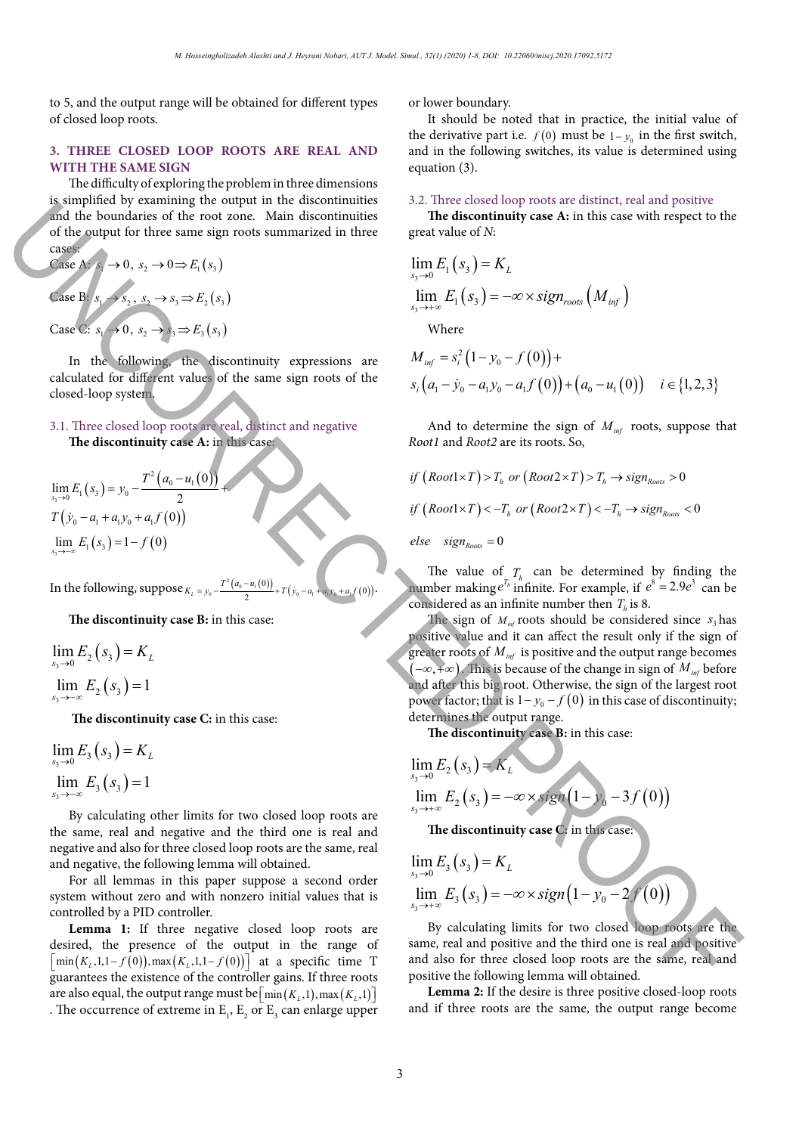to 5, and the output range will be obtained for different types of closed loop roots.

## **3. THREE CLOSED LOOP ROOTS ARE REAL AND WITH THE SAME SIGN**

The difficulty of exploring the problem in three dimensions is simplified by examining the output in the discontinuities and the boundaries of the root zone. Main discontinuities of the output for three same sign roots summarized in three cases:

Case A:  $s_1 \rightarrow 0$ ,  $s_2 \rightarrow 0 \Rightarrow E_1(s_2)$ Case B:  $s_1 \rightarrow s_2, s_3 \rightarrow s_3 \Rightarrow E_2(s_3)$ Case C:  $s_1 \rightarrow 0$ ,  $s_2 \rightarrow s_3 \rightarrow E_3$   $(s_3)$ 

In the following, the discontinuity expressions are calculated for different values of the same sign roots of the closed-loop system.

3.1. Three closed loop roots are real, distinct and negative **The discontinuity case A:** in this case:

 $\lim_{s\to 0} E_1(s_3) = y_0 - \frac{T^2(a_0 - u_1(0))}{2}$  $T(y_0 - a_1 + a_1y_0 + a_1f(0))$  $\sum_{i=0}^{n} E_i (s_3) = y_0 - \frac{T^2 (a_0 - u_1)}{2}$  $\lim_{s_3 \to 0} E_1(s_3) = y_0 - \frac{T^2 (a_0 - u_1) (0)}{2}$  $\lim_{x\to 0} E_1(s_3) = y_0 - \frac{T^2(a_0 - u_1(0))}{2} +$  $\lim_{s_3 \to -\infty} E_1(s_3) = 1 - f(0)$ 3

In the following,  $\text{suppose}_{K_L = y_0} - \frac{T^2(a_0 - u_1(0))}{2} + T(y_0 - a_1 + a_0y_0 + a_0f(0))$ .

**The discontinuity case B:** in this case:

$$
\lim_{s_3 \to 0} E_2(s_3) = K_L
$$
  

$$
\lim_{s_3 \to -\infty} E_2(s_3) = 1
$$

**The discontinuity case C:** in this case:

$$
\lim_{s_3 \to 0} E_3(s_3) = K_L
$$
  

$$
\lim_{s_3 \to -\infty} E_3(s_3) = 1
$$

By calculating other limits for two closed loop roots are the same, real and negative and the third one is real and negative and also for three closed loop roots are the same, real and negative, the following lemma will obtained.

For all lemmas in this paper suppose a second order system without zero and with nonzero initial values that is controlled by a PID controller.

**Lemma 1:** If three negative closed loop roots are desired, the presence of the output in the range of  $\lceil \min(K_L, 1, 1 - f(0)), \max(K_L, 1, 1 - f(0)) \rceil$  at a specific time T guarantees the existence of the controller gains. If three roots are also equal, the output range must be  $\lceil \min(K_i, 1), \max(K_i, 1) \rceil$ . The occurrence of extreme in  $E_1$ ,  $E_2$  or  $E_3$  can enlarge upper or lower boundary.

It should be noted that in practice, the initial value of the derivative part i.e.  $f(0)$  must be  $1 - y_0$  in the first switch, and in the following switches, its value is determined using equation (3).

## 3.2. Three closed loop roots are distinct, real and positive

**The discontinuity case A:** in this case with respect to the great value of *N*:

$$
\lim_{s_3 \to 0} E_1(s_3) = K_L
$$
  

$$
\lim_{s_3 \to +\infty} E_1(s_3) = -\infty \times sign_{\text{roots}}(M_{\text{inf}})
$$

Where

$$
M_{inf} = s_i^2 (1 - y_0 - f(0)) +
$$
  
\n
$$
s_i (a_1 - \dot{y}_0 - a_1 y_0 - a_1 f(0)) + (a_0 - u_1(0)) \quad i \in \{1, 2, 3\}
$$

And to determine the sign of  $M_{inf}$  roots, suppose that *Root1* and *Root2* are its roots. So,

 $if (Root1\times T) > T<sub>k</sub>$  or  $(Root2\times T) > T<sub>k</sub> \rightarrow sign_{most} > 0$  $if (Root1 \times T) < -T_h$  or  $(Root2 \times T) < -T_h$   $\rightarrow$   $sign_{post} < 0$ 

 $else$   $sign<sub>Roots</sub> = 0$ 

The value of  $T<sub>k</sub>$  can be determined by finding the number making  $e^{T_h}$  infinite. For example, if  $e^s = 2.9e^3$  can be considered as an infinite number then  $T<sub>k</sub>$  is 8.

The sign of  $M_{inf}$  roots should be considered since  $s_3$  has positive value and it can affect the result only if the sign of greater roots of  $M_{\text{inf}}$  is positive and the output range becomes (-∞, +∞). This is because of the change in sign of *M*<sub>inf</sub> before and after this big root. Otherwise, the sign of the largest root power factor; that is  $1 - y_0 - f(0)$  in this case of discontinuity; determines the output range. Surface the particle is a particular of the contribution of the set of the set of the set of the set of the set of the set of the set of the set of the set of the set of the set of the set of the set of the set of the set

**The discontinuity case B:** in this case:

$$
\lim_{s_3 \to 0} E_2(s_3) = K_L
$$
  
\n
$$
\lim_{s_3 \to +\infty} E_2(s_3) = -\infty \times sign(1 - y_0 - 3f(0))
$$

**The discontinuity case C:** in this case:

$$
\lim_{s_3 \to 0} E_3(s_3) = K_L
$$
  
\n
$$
\lim_{s_3 \to +\infty} E_3(s_3) = -\infty \times sign\left(1 - y_0 - 2f'(0)\right)
$$

By calculating limits for two closed loop roots are the same, real and positive and the third one is real and positive and also for three closed loop roots are the same, real and positive the following lemma will obtained.

**Lemma 2:** If the desire is three positive closed-loop roots and if three roots are the same, the output range become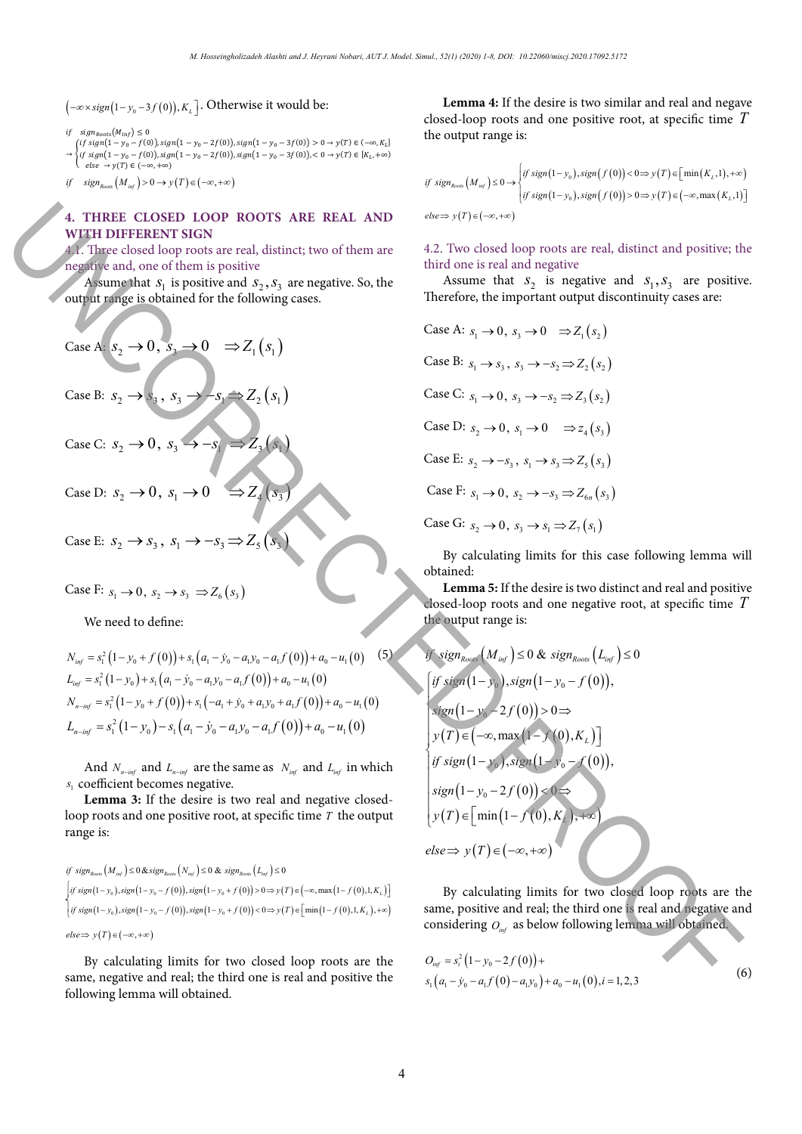$\left( - \infty \times sign\left( 1 - y_{_{0}} - 3f\left( 0\right) \right) ,K_{_{L}} \right]$ . Otherwise it would be:

if  $sign_{Roots}(M_{inf}) \leq 0$ 

= 1

 $\rightarrow$   $\{if\ sign(1 - y_0 - f(0)), sign(1 - y_0 - 2f(0)), sign(1 - y_0 - 3f(0)),$   $< 0 \rightarrow y(T) \in [K_L, +\infty)$ (if  $sign(1 - y_0 - f(0))$ ,  $sign(1 - y_0 - 2f(0))$ ,  $sign(1 - y_0 - 3f(0)) > 0 \rightarrow y(T) \in (-\infty, K_L]$  $else$   $\rightarrow$   $y(T) \in (-\infty, +\infty)$ 

*if* sign<sub>Roots</sub>  $(M_{inf}) > 0$  →  $y(T) \in (-\infty, +\infty)$ 

 $2(1 - 0)$ 

# 4. THREE CLOSED LOOP ROOTS ARE REAL AND **WITH DIFFERENT SIGN**

4.1. Three closed loop roots are real, distinct; two of them are negative and, one of them is positive

Assume that  $S_1$  is positive and  $S_2$ ,  $S_3$  are negative. So, the We need to define: output range is obtained for the following cases.

Case A: 
$$
S_2 \rightarrow 0
$$
,  $S_3 \rightarrow 0 \Rightarrow Z_1(S_1)$   
\nCase B:  $S_2 \rightarrow S_3$ ,  $S_3 \rightarrow -S_1 \Rightarrow Z_2(S_1)$   
\nCase C:  $S_2 \rightarrow 0$ ,  $S_3 \rightarrow -S_1 \Rightarrow Z_3(S_1)$   
\nCase D:  $S_2 \rightarrow 0$ ,  $S_1 \rightarrow 0 \Rightarrow Z_4(S_3)$   
\nCase E:  $S_2 \rightarrow S_3$ ,  $S_1 \rightarrow -S_3 \Rightarrow Z_5(S_3)$ 

Case F:  $s_1 \to 0$ ,  $s_2 \to s_3 \Rightarrow Z_6(s_3)$ 

We need to define:

$$
N_{inf} = s_1^2 (1 - y_0 + f(0)) + s_1 (a_1 - \dot{y}_0 - a_1 y_0 - a_1 f(0)) + a_0 - u_1 (0)
$$
(5)  
\n
$$
L_{inf} = s_1^2 (1 - y_0) + s_1 (a_1 - \dot{y}_0 - a_1 y_0 - a_1 f(0)) + a_0 - u_1 (0)
$$
  
\n
$$
N_{n-int} = s_1^2 (1 - y_0 + f(0)) + s_1 (-a_1 + \dot{y}_0 + a_1 y_0 + a_1 f(0)) + a_0 - u_1 (0)
$$
  
\n
$$
L_{n-int} = s_1^2 (1 - y_0) - s_1 (a_1 - \dot{y}_0 - a_1 y_0 - a_1 f(0)) + a_0 - u_1 (0)
$$

Case A: 1 → 0 , 3 → 0 , 3 → 0 , 3 → 0 , 3 → 0 , 3 → 3 → 3 → 3 → 3 → 3 → 3 → 5(3) → 3 ⇒ 5(3) → 3 ⇒ 5(3) → 3 ⇒ 5(3)

And  $N_{n-int}$  and  $L_{n-int}$  are the same as  $N_{inf}$  and  $L_{inf}$  in which *s*<sup>1</sup> coefficient becomes negative.

**Lemma 3:** If the desire is two real and negative closedloop roots and one positive root, at specific time *T* the output range is:

if 
$$
sign_{Root}(M_{inf}) \le 0
$$
 &  $sign_{Root}(N_{inf}) \le 0$  &  $sign_{Root}(L_{inf}) \le 0$   
\n
$$
\begin{cases}\n\text{if } sign(1 - y_0), sign(1 - y_0 - f(0)), sign(1 - y_0 + f(0)) > 0 \Rightarrow y(T) \in (-\infty, max(1 - f(0), 1, K_L)] \\
\text{if } sign(1 - y_0), sign(1 - y_0 - f(0)), sign(1 - y_0 + f(0)) < 0 \Rightarrow y(T) \in \left[ min(1 - f(0), 1, K_L), +\infty \right)\n\end{cases}
$$
\n
$$
else \Rightarrow y(T) \in (-\infty, +\infty)
$$

By calculating limits for two closed loop roots are the same, negative and real; the third one is real and positive the following lemma will obtained.

**Lemma 4:** If the desire is two similar and real and negave closed-loop roots and one positive root, at specific time *T* the output range is:

$$
if sign_{\text{Root}}(M_{\text{inf}}) \le 0 \rightarrow \begin{cases} if sign(1 - y_0), sign(f(0)) < 0 \Rightarrow y(T) \in [\min(K_L, 1), +\infty) \\ if sign(1 - y_0), sign(f(0)) > 0 \Rightarrow y(T) \in (-\infty, \max(K_L, 1)] \end{cases}
$$
  

$$
else \Rightarrow y(T) \in (-\infty, +\infty)
$$

4.2. Two closed loop roots are real, distinct and positive; the third one is real and negative

Assume that  $S_2$  is negative and  $S_1, S_3$  are positive. Therefore, the important output discontinuity cases are:

Case A: 
$$
s_1 \rightarrow 0
$$
,  $s_3 \rightarrow 0 \Rightarrow Z_1(s_2)$   
\nCase B:  $s_1 \rightarrow s_3$ ,  $s_3 \rightarrow -s_2 \Rightarrow Z_2(s_2)$   
\nCase C:  $s_1 \rightarrow 0$ ,  $s_3 \rightarrow -s_2 \Rightarrow Z_3(s_2)$   
\nCase D:  $s_2 \rightarrow 0$ ,  $s_1 \rightarrow 0 \Rightarrow z_4(s_3)$   
\nCase E:  $s_2 \rightarrow -s_3$ ,  $s_1 \rightarrow s_3 \Rightarrow Z_5(s_3)$   
\nCase F:  $s_1 \rightarrow 0$ ,  $s_2 \rightarrow -s_3 \Rightarrow Z_{6n}(s_3)$   
\nCase G:  $s_2 \rightarrow 0$ ,  $s_3 \rightarrow s_1 \Rightarrow Z_7(s_1)$ 

By calculating limits for this case following lemma will obtained:

**Lemma 5:** If the desire is two distinct and real and positive closed-loop roots and one negative root, at specific time *T* the output range is:

4. THERE LOGED LOP ROOTS ARE REAL AND  
\n1. Three-EXCREDD LOP ROOTS ARE REAL AND  
\n1. Three-Caseal loop roots are real, distinct, two of them are  
\nthe same that 
$$
s_1
$$
 is positive and  $s_3$ ,  $s_3$  are negative. So, the  
\nthe same that  $s_2$  is negative and  $s_3$ ,  $s_3$  are positive.  
\n**Case A**  $s_2 \rightarrow 0$ ,  $s_3 \rightarrow 0 \Rightarrow Z_1(s_1)$   
\nCase E:  $s_2 \rightarrow 0$ ,  $s_3 \rightarrow -s$   
\nCase E:  $s_2 \rightarrow 0$ ,  $s_3 \rightarrow -s$   
\nCase E:  $s_2 \rightarrow 0$ ,  $s_3 \rightarrow -s$   
\nCase E:  $s_2 \rightarrow 0$ ,  $s_3 \rightarrow -s$   
\nCase E:  $s_2 \rightarrow 0$ ,  $s_3 \rightarrow -s$   
\nCase E:  $s_2 \rightarrow 0$ ,  $s_3 \rightarrow -s$   
\nCase E:  $s_3 \rightarrow -s_3$ ,  $s_3 \rightarrow -s_3$ ,  $s_3 \rightarrow s_3$ ,  $s_3 \rightarrow s_3$ ,  
\nCase E:  $s_2 \rightarrow 0$ ,  $s_3 \rightarrow -s$   
\nCase E:  $s_3 \rightarrow -s_3$ ,  $s_3 \rightarrow -s_3$ ,  $s_3 \rightarrow s_3$ ,  $s_3 \rightarrow s_3$ ,  
\nCase E:  $s_3 \rightarrow -s_3$ ,  $s_3 \rightarrow -s_3$ ,  $s_3 \rightarrow s_3$ ,  $s_3 \rightarrow s_3$ ,  
\nCase E:  $s_3 \rightarrow -s_3$ ,  $s_3 \rightarrow -s_3$ ,  $s_3 \rightarrow s_3$ ,  $s_3 \rightarrow s_3$ ,  
\nCase E:  $s_3 \rightarrow -s_3$ ,  $s_3 \rightarrow -s_3$ ,  $s_3 \rightarrow s_3$ ,  $s_3 \rightarrow s_3$ ,  
\nCase E:  $s_3 \rightarrow -s_3$ ,  $s_3 \rightarrow -s_3$ ,  $s_3 \rightarrow s_3$ ,  $s_3 \rightarrow s_3$ ,  
\nCase E:  $s_3 \rightarrow -s_3$ 

By calculating limits for two closed loop roots are the same, positive and real; the third one is real and negative and considering *Oinf* as below following lemma will obtained.

$$
O_{inf} = s_i^2 (1 - y_0 - 2f(0)) +
$$
  
s<sub>1</sub> (a<sub>1</sub> - *y*<sub>0</sub> - a<sub>1</sub>f(0) - a<sub>1</sub>*y*<sub>0</sub>) + a<sub>0</sub> - u<sub>1</sub>(0), *i* = 1, 2, 3\n
$$
(6)
$$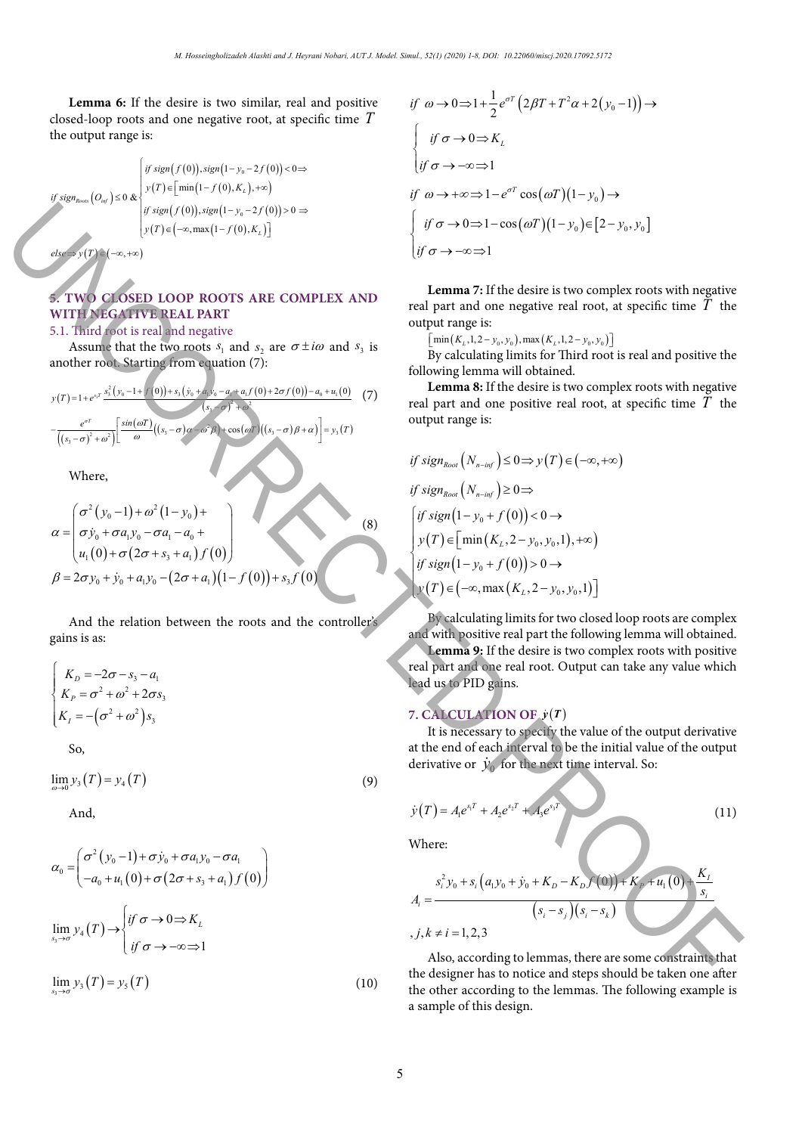**Lemma 6:** If the desire is two similar, real and positive closed-loop roots and one negative root, at specific time *T* the output range is:

$$
if sign_{Roots} (O_{inf}) \leq 0 \& \begin{cases} if sign(f(0)), sign(1-y_0-2f(0)) < 0 \Rightarrow \\ y(T) \in \left[ min(1-f(0), K_L), +\infty \right) \\ if sign(f(0)), sign(1-y_0-2f(0)) > 0 \Rightarrow \\ y(T) \in \left( -\infty, max(1-f(0), K_L) \right] \end{cases}
$$

 $else \Rightarrow y(T) \in (-\infty, +\infty)$ 

# **5. TWO CLOSED LOOP ROOTS ARE COMPLEX AND WITH NEGATIVE REAL PART**

# 5.1. Third root is real and negative

Assume that the two roots  $s_1$  and  $s_2$  are  $\sigma \pm i\omega$  and  $s_3$  is another root. Starting from equation (7):

$$
y(T) = 1 + e^{s_T} \frac{s_3^2 (y_0 - 1 + r'(0)) + s_3 (y_0 + a_0, y_0 - a_0 + a_1, f(0) + 2\sigma f(0)) - a_0 + u_1(0)}{(s_3 - \sigma)^2 + \omega^2} \left[ \frac{\sin(\omega T)}{\omega} \left( (s_3 - \sigma)\alpha - \frac{\omega^2 \beta}{\omega^2} + \cos(\omega T) \left( (s_3 - \sigma)\beta + \alpha \right) \right) \right] = y_3(T)
$$

Where,

$$
\alpha = \begin{pmatrix}\n\sigma^2 (y_0 - 1) + \omega^2 (1 - y_0) + \\
\sigma \dot{y}_0 + \sigma a_1 y_0 - \sigma a_1 - a_0 + \\
u_1(0) + \sigma (2\sigma + s_3 + a_1) f(0)\n\end{pmatrix}
$$
\n
$$
\beta = 2\sigma y_0 + \dot{y}_0 + a_1 y_0 - (2\sigma + a_1)(1 - f(0)) + s_3 f(0)
$$
\n(8)

And the relation between the roots and the controller's gains is as:

$$
\begin{cases}\nK_D = -2\sigma - s_3 - a_1 \\
K_P = \sigma^2 + \omega^2 + 2\sigma s_3 \\
K_I = -(\sigma^2 + \omega^2)s_3\n\end{cases}
$$

So,

$$
\lim_{\omega \to 0} y_3(T) = y_4(T)
$$
\n(9)

And,

$$
\begin{vmatrix}\n\mathbf{F} \sin(\mathbf{r}(x)) = \n\begin{pmatrix}\n\frac{\partial}{\partial x} \sin(\mathbf{r}(0)) \sin(\mathbf{r}(1)) & \frac{\partial}{\partial y} \sin(\mathbf{r}(0)) & \frac{\partial}{\partial z} \sin(\mathbf{r}(0)) & \frac{\partial}{\partial z} \sin(\mathbf{r}(0)) & \frac{\partial}{\partial z} \sin(\mathbf{r}(0)) & \frac{\partial}{\partial z} \sin(\mathbf{r}(0)) & \frac{\partial}{\partial z} \sin(\mathbf{r}(0)) & \frac{\partial}{\partial z} \sin(\mathbf{r}(0)) & \frac{\partial}{\partial z} \sin(\mathbf{r}(0)) & \frac{\partial}{\partial z} \sin(\mathbf{r}(0)) & \frac{\partial}{\partial z} \sin(\mathbf{r}(0)) & \frac{\partial}{\partial z} \sin(\mathbf{r}(0)) & \frac{\partial}{\partial z} \sin(\mathbf{r}(0)) & \frac{\partial}{\partial z} \sin(\mathbf{r}(0)) & \frac{\partial}{\partial z} \sin(\mathbf{r}(0)) & \frac{\partial}{\partial z} \sin(\mathbf{r}(0)) & \frac{\partial}{\partial z} \sin(\mathbf{r}(0)) & \frac{\partial}{\partial z} \sin(\mathbf{r}(0)) & \frac{\partial}{\partial z} \sin(\mathbf{r}(0)) & \frac{\partial}{\partial z} \sin(\mathbf{r}(0)) & \frac{\partial}{\partial z} \sin(\mathbf{r}(0)) & \frac{\partial}{\partial z} \sin(\mathbf{r}(0)) & \frac{\partial}{\partial z} \sin(\mathbf{r}(0)) & \frac{\partial}{\partial z} \sin(\mathbf{r}(0)) & \frac{\partial}{\partial z} \sin(\mathbf{r}(0)) & \frac{\partial}{\partial z} \sin(\mathbf{r}(0)) & \frac{\partial}{\partial z} \sin(\mathbf{r}(0)) & \frac{\partial}{\partial z} \sin(\mathbf{r}(0)) & \frac{\partial}{\partial z} \sin(\mathbf{r}(0)) & \frac{\partial}{\partial z} \sin(\mathbf{r}(0)) & \frac{\partial}{\partial z} \sin(\mathbf{r}(0)) & \frac{\partial}{\partial z} \sin(\mathbf{r}(0)) & \frac{\partial}{\partial z} \sin(\mathbf{r}(0)) & \frac{\partial}{\partial z} \sin(\mathbf{r}(0)) & \frac{\partial}{\partial z} \sin(\mathbf{r}(0)) & \frac{\partial}{\partial z} \sin(\mathbf{
$$

$$
if \omega \to 0 \Rightarrow 1 + \frac{1}{2}e^{\sigma T} (2\beta T + T^2 \alpha + 2(y_0 - 1)) \to
$$
  
\n
$$
\begin{cases}\nif \sigma \to 0 \Rightarrow K_L \\
if \sigma \to -\infty \Rightarrow 1\n\end{cases}
$$
  
\n
$$
if \omega \to +\infty \Rightarrow 1 - e^{\sigma T} \cos(\omega T)(1 - y_0) \to
$$
  
\n
$$
\begin{cases}\nif \sigma \to 0 \Rightarrow 1 - \cos(\omega T)(1 - y_0) \in [2 - y_0, y_0] \\
if \sigma \to -\infty \Rightarrow 1\n\end{cases}
$$

**Lemma 7:** If the desire is two complex roots with negative real part and one negative real root, at specific time *T* the output range is:

 $\left[\min\left(K_L, 1, 2 - y_0, y_0\right), \max\left(K_L, 1, 2 - y_0, y_0\right)\right]$ 

By calculating limits for Third root is real and positive the following lemma will obtained.

**Lemma 8:** If the desire is two complex roots with negative real part and one positive real root, at specific time *T* the output range is:

if sign<sub>Root</sub> 
$$
(N_{n\text{-inf}}) \leq 0 \Rightarrow y(T) \in (-\infty, +\infty)
$$
  
\nif sign<sub>Root</sub>  $(N_{n\text{-inf}}) \geq 0 \Rightarrow$   
\n
$$
\begin{cases}\n\text{if sign}(1 - y_0 + f(0)) < 0 \rightarrow \\
y(T) \in \left[\min(K_L, 2 - y_0, y_0, 1), +\infty\right) \\
\text{if sign}(1 - y_0 + f(0)) > 0 \rightarrow \\
y(T) \in \left(-\infty, \max(K_L, 2 - y_0, y_0, 1)\right]\n\end{cases}
$$

By calculating limits for two closed loop roots are complex and with positive real part the following lemma will obtained. **Lemma 9:** If the desire is two complex roots with positive real part and one real root. Output can take any value which lead us to PID gains.

## **7. CALCULATION OF**  $\dot{y}(T)$

It is necessary to specify the value of the output derivative at the end of each interval to be the initial value of the output derivative or  $\dot{y}_0$  for the next time interval. So:

$$
\dot{y}(T) = A_1 e^{s_1 T} + A_2 e^{s_2 T} + A_3 e^{s_3 T}
$$
\n(11)

Where:

$$
A_{i} = \frac{s_{i}^{2} y_{0} + s_{i} (a_{1} y_{0} + y_{0} + K_{D} - K_{D} f (0)) + K_{p} + u_{1} (0) + \frac{K_{I}}{s_{i}}}{(s_{i} - s_{j})(s_{i} - s_{k})}
$$
  
,  $j, k \neq i = 1, 2, 3$ 

Also, according to lemmas, there are some constraints that the designer has to notice and steps should be taken one after the other according to the lemmas. The following example is a sample of this design.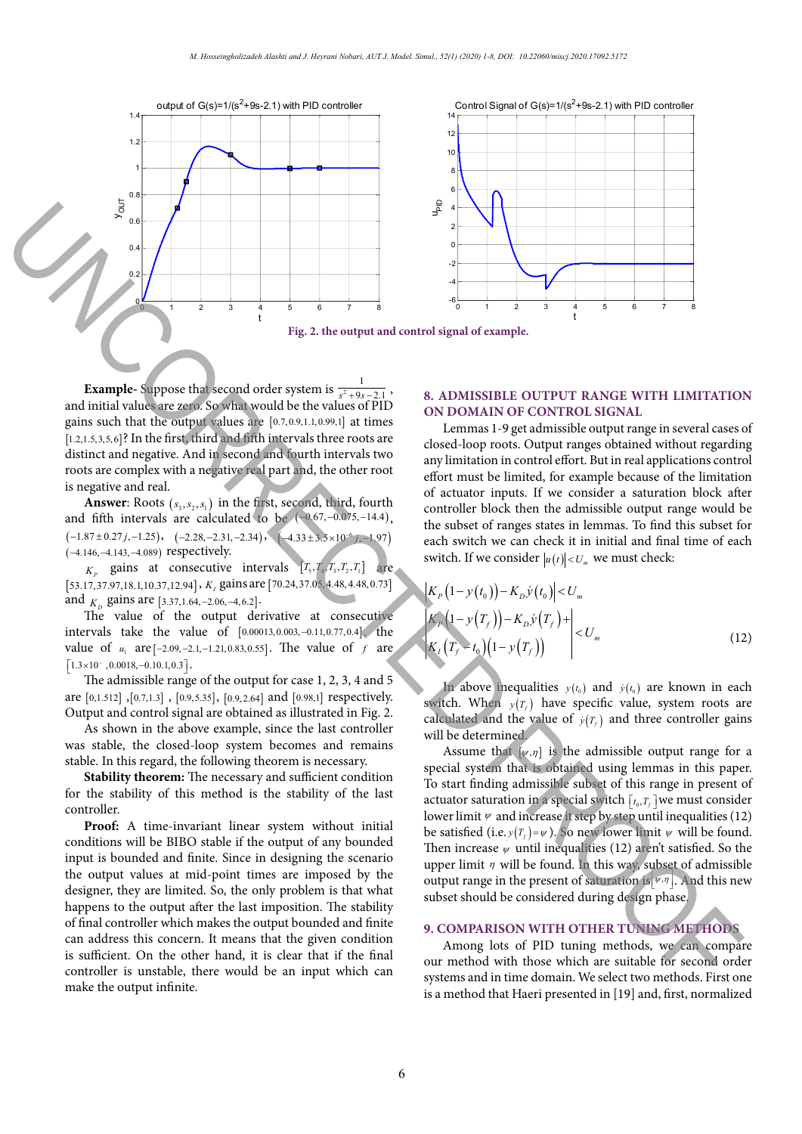

**Example-** Suppose that second order system is  $\frac{1}{s^2+9s-2.1}$ , and initial values are zero. So what would be the values of PID gains such that the output values are  $[0.7, 0.9, 1.1, 0.99, 1]$  at times [1.2,1.5,3,5,6]? In the first, third and fifth intervals three roots are distinct and negative. And in second and fourth intervals two roots are complex with a negative real part and, the other root is negative and real.

**Answer**: Roots  $(s_3, s_2, s_1)$  in the first, second, third, fourth and fifth intervals are calculated to be  $(-0.67, -0.075, -14.4)$ ,  $(-1.87 \pm 0.27 \, j, -1.25)$ ,  $(-2.28, -2.31, -2.34)$ ,  $(-4.33 \pm 3.5 \times 10^{-6} \, j, -1.97)$ (−−− 4.146, 4.143, 4.089) respectively.

 $K<sub>p</sub>$  gains at consecutive intervals  $[T<sub>5</sub>, T<sub>4</sub>, T<sub>3</sub>, T<sub>2</sub>, T<sub>1</sub>]$  are [53.17,37.97,18.1,10.37,12.94], *K<sub>i</sub>* gains are [70.24,37.05,4.48,4.48,0.73] and  $K_p$  gains are [3.37,1.64, -2.06, -4,6.2].

The value of the output derivative at consecutive intervals take the value of [0.00013,0.003, -0.11,0.77,0.4]. the value of  $u_1$  are  $[-2.09, -2.1, -1.21, 0.83, 0.55]$ . The value of *f* are  $\lceil 1.3 \times 10^{-} ,0.0018,-0.10.1,0.3 \rceil$ .

The admissible range of the output for case 1, 2, 3, 4 and 5 are [0,1.512] ,[0.7,1.3] , [0.9,5.35], [0.9, 2.64] and [0.98,1] respectively. Output and control signal are obtained as illustrated in Fig. 2.

As shown in the above example, since the last controller was stable, the closed-loop system becomes and remains stable. In this regard, the following theorem is necessary.

**Stability theorem:** The necessary and sufficient condition for the stability of this method is the stability of the last controller.

**Proof:** A time-invariant linear system without initial conditions will be BIBO stable if the output of any bounded input is bounded and finite. Since in designing the scenario the output values at mid-point times are imposed by the designer, they are limited. So, the only problem is that what happens to the output after the last imposition. The stability of final controller which makes the output bounded and finite can address this concern. It means that the given condition is sufficient. On the other hand, it is clear that if the final controller is unstable, there would be an input which can make the output infinite.

# **8. ADMISSIBLE OUTPUT RANGE WITH LIMITATION ON DOMAIN OF CONTROL SIGNAL**

Lemmas 1-9 get admissible output range in several cases of closed-loop roots. Output ranges obtained without regarding any limitation in control effort. But in real applications control effort must be limited, for example because of the limitation of actuator inputs. If we consider a saturation block after controller block then the admissible output range would be the subset of ranges states in lemmas. To find this subset for each switch we can check it in initial and final time of each switch. If we consider  $|u(t)| < U_m$  we must check:

$$
\begin{aligned}\n&|K_P(1 - y(t_0)) - K_D \dot{y}(t_0)| < U_m \\
&|K_P(1 - y(T_f)) - K_D \dot{y}(T_f) + \left| < U_m\n\end{aligned} \tag{12}
$$

In above inequalities  $y(t_0)$  and  $\dot{y}(t_0)$  are known in each switch. When  $v(T_c)$  have specific value, system roots are calculated and the value of  $y(T_f)$  and three controller gains will be determined.

Assume that  $[\psi, \eta]$  is the admissible output range for a special system that is obtained using lemmas in this paper. To start finding admissible subset of this range in present of actuator saturation in a special switch  $[t_0, T_f]$  we must consider lower limit  $\psi$  and increase it step by step until inequalities (12) be satisfied (i.e.  $y(T_f) = \psi$ ). So new lower limit  $\psi$  will be found. Then increase  $\psi$  until inequalities (12) aren't satisfied. So the upper limit  $\eta$  will be found. In this way, subset of admissible output range in the present of saturation is  $[\sqrt{\psi}, \eta]$ . And this new subset should be considered during design phase.

## **9. COMPARISON WITH OTHER TUNING METHODS**

Among lots of PID tuning methods, we can compare our method with those which are suitable for second order systems and in time domain. We select two methods. First one is a method that Haeri presented in [19] and, first, normalized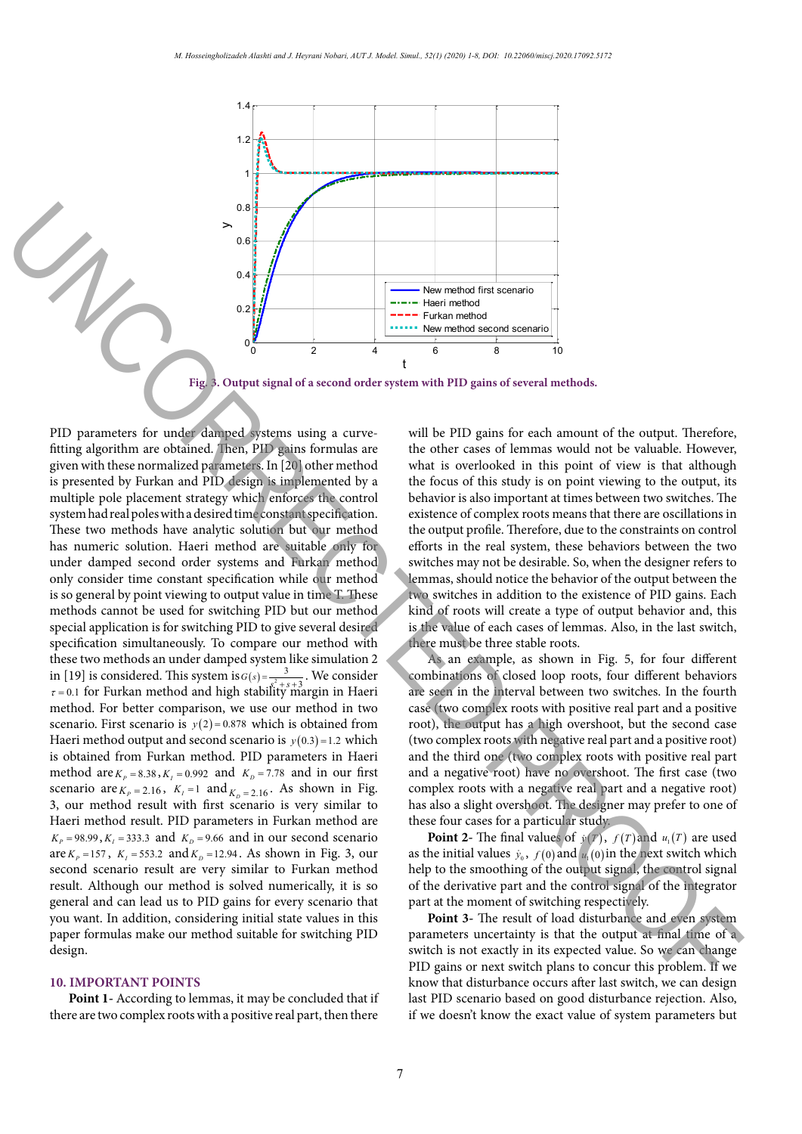

Fig. 3. Output signal of a second order system with PID gains of several methods.

PID parameters for under damped systems using a curvefitting algorithm are obtained. Then, PID gains formulas are given with these normalized parameters. In [20] other method is presented by Furkan and PID design is implemented by a multiple pole placement strategy which enforces the control system had real poles with a desired time constant specification. These two methods have analytic solution but our method has numeric solution. Haeri method are suitable only for under damped second order systems and Furkan method only consider time constant specification while our method is so general by point viewing to output value in time T. These methods cannot be used for switching PID but our method special application is for switching PID to give several desired specification simultaneously. To compare our method with these two methods an under damped system like simulation 2 in [19] is considered. This system is  $G(s) = \frac{3}{s^2 + s + 3}$ . We consider  $\tau$  = 0.1 for Furkan method and high stability margin in Haeri method. For better comparison, we use our method in two scenario. First scenario is  $y(2)=0.878$  which is obtained from Haeri method output and second scenario is  $y(0.3) = 1.2$  which is obtained from Furkan method. PID parameters in Haeri method are  $K_p = 8.38$ ,  $K_l = 0.992$  and  $K_p = 7.78$  and in our first scenario are  $K_p = 2.16$ ,  $K_l = 1$  and  $K_p = 2.16$ . As shown in Fig. 3, our method result with first scenario is very similar to Haeri method result. PID parameters in Furkan method are  $K_p = 98.99$ ,  $K_l = 333.3$  and  $K_p = 9.66$  and in our second scenario are  $K_p = 157$ ,  $K_l = 553.2$  and  $K_p = 12.94$ . As shown in Fig. 3, our second scenario result are very similar to Furkan method result. Although our method is solved numerically, it is so general and can lead us to PID gains for every scenario that you want. In addition, considering initial state values in this paper formulas make our method suitable for switching PID design. **Fig. 3. Output signal of a second order system with PID gains of extent and the output signal of a second order system with PID gains of extent and order system with PID gains of several methods.<br>
<b>FID parameters for ana** 

## **10. IMPORTANT POINTS**

**Point 1-** According to lemmas, it may be concluded that if there are two complex roots with a positive real part, then there

will be PID gains for each amount of the output. Therefore, the other cases of lemmas would not be valuable. However, what is overlooked in this point of view is that although the focus of this study is on point viewing to the output, its behavior is also important at times between two switches. The existence of complex roots means that there are oscillations in the output profile. Therefore, due to the constraints on control efforts in the real system, these behaviors between the two switches may not be desirable. So, when the designer refers to lemmas, should notice the behavior of the output between the two switches in addition to the existence of PID gains. Each kind of roots will create a type of output behavior and, this is the value of each cases of lemmas. Also, in the last switch, there must be three stable roots.

As an example, as shown in Fig. 5, for four different combinations of closed loop roots, four different behaviors are seen in the interval between two switches. In the fourth case (two complex roots with positive real part and a positive root), the output has a high overshoot, but the second case (two complex roots with negative real part and a positive root) and the third one (two complex roots with positive real part and a negative root) have no overshoot. The first case (two complex roots with a negative real part and a negative root) has also a slight overshoot. The designer may prefer to one of these four cases for a particular study.

**Point 2-** The final values of  $\dot{y}(T)$ ,  $f(T)$  and  $u_1(T)$  are used as the initial values  $\dot{y}_0$ ,  $f(0)$  and  $u_1(0)$  in the next switch which help to the smoothing of the output signal, the control signal of the derivative part and the control signal of the integrator part at the moment of switching respectively.

**Point 3-** The result of load disturbance and even system parameters uncertainty is that the output at final time of a switch is not exactly in its expected value. So we can change PID gains or next switch plans to concur this problem. If we know that disturbance occurs after last switch, we can design last PID scenario based on good disturbance rejection. Also, if we doesn't know the exact value of system parameters but